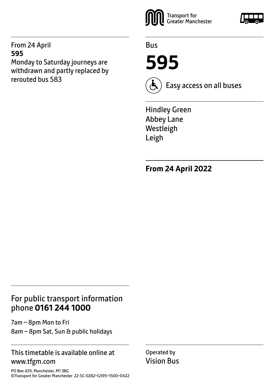From 24 April **595** Monday to Saturday journeys are withdrawn and partly replaced by rerouted bus 583



Bus

**595**



Easy access on all buses

Hindley Green Abbey Lane Westleigh Leigh

**From 24 April 2022**

### For public transport information phone **0161 244 1000**

7am – 8pm Mon to Fri 8am – 8pm Sat, Sun & public holidays

### This timetable is available online at www.tfgm.com

PO Box 429, Manchester, M1 3BG ©Transport for Greater Manchester 22-SC-0282–G595–1500–0422 Operated by Vision Bus

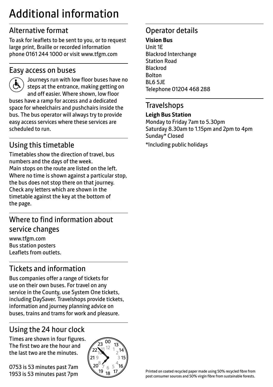# Additional information

# Alternative format

To ask for leaflets to be sent to you, or to request large print, Braille or recorded information phone 0161 244 1000 or visit www.tfgm.com

### Easy access on buses



 Journeys run with low floor buses have no steps at the entrance, making getting on and off easier. Where shown, low floor buses have a ramp for access and a dedicated space for wheelchairs and pushchairs inside the bus. The bus operator will always try to provide easy access services where these services are scheduled to run.

# Using this timetable

Timetables show the direction of travel, bus numbers and the days of the week. Main stops on the route are listed on the left. Where no time is shown against a particular stop, the bus does not stop there on that journey. Check any letters which are shown in the timetable against the key at the bottom of the page.

# Where to find information about service changes

www.tfgm.com Bus station posters Leaflets from outlets.

# Tickets and information

Bus companies offer a range of tickets for use on their own buses. For travel on any service in the County, use System One tickets, including DaySaver. Travelshops provide tickets, information and journey planning advice on buses, trains and trams for work and pleasure.

# Using the 24 hour clock

Times are shown in four figures. The first two are the hour and the last two are the minutes.

0753 is 53 minutes past 7am 1953 is 53 minutes past 7pm



# Operator details

#### **Vision Bus**

Unit 1E Blackrod Interchange Station Road Blackrod Bolton BL6 5JE Telephone 01204 468 288

### **Travelshops**

### **Leigh Bus Station**

Monday to Friday 7am to 5.30pm Saturday 8.30am to 1.15pm and 2pm to 4pm Sunday\* Closed \*Including public holidays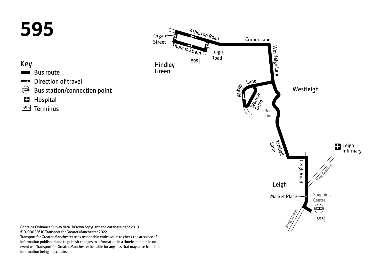

information published and to publish changes to information in a timely manner. In no event will Transport for Greater Manchester be liable for any loss that may arise from this information being inaccurate.